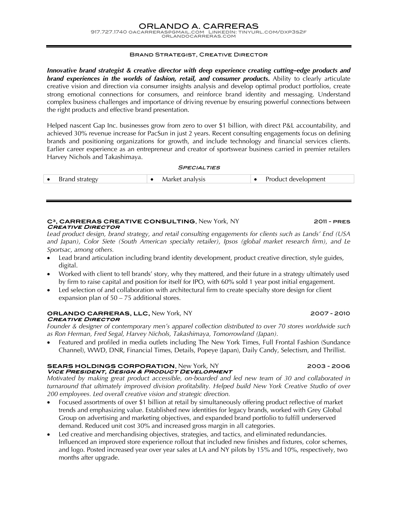## Brand Strategist, Creative Director

*Innovative brand strategist & creative director with deep experience creating cutting–edge products and brand experiences in the worlds of fashion, retail, and consumer products***.** Ability to clearly articulate creative vision and direction via consumer insights analysis and develop optimal product portfolios, create strong emotional connections for consumers, and reinforce brand identity and messaging. Understand complex business challenges and importance of driving revenue by ensuring powerful connections between the right products and effective brand presentation.

Helped nascent Gap Inc. businesses grow from zero to over \$1 billion, with direct P&L accountability, and achieved 30% revenue increase for PacSun in just 2 years. Recent consulting engagements focus on defining brands and positioning organizations for growth, and include technology and financial services clients. Earlier career experience as an entrepreneur and creator of sportswear business carried in premier retailers Harvey Nichols and Takashimaya.

| <i>SPECIALTIES</i> |                |  |                 |  |                     |
|--------------------|----------------|--|-----------------|--|---------------------|
|                    | Brand strategy |  | Market analysis |  | Product development |

### **C3, CARRERAS CREATIVE CONSULTING**, New York, NY 2011 - pres **Creative Director**

*Lead product design, brand strategy, and retail consulting engagements for clients such as Lands' End (USA and Japan), Color Siete (South American specialty retailer), Ipsos (global market research firm), and Le Sportsac, among others.*

- Lead brand articulation including brand identity development, product creative direction, style guides, digital.
- Worked with client to tell brands' story, why they mattered, and their future in a strategy ultimately used by firm to raise capital and position for itself for IPO, with 60% sold 1 year post initial engagement.
- Led selection of and collaboration with architectural firm to create specialty store design for client expansion plan of 50 – 75 additional stores.

## **ORLANDO CARRERAS, LLC,** New York, NY2007 - 2010 **Creative Director**

*Founder & designer of contemporary men's apparel collection distributed to over 70 stores worldwide such as Ron Herman, Fred Segal, Harvey Nichols, Takashimaya, Tomorrowland (Japan).*

• Featured and profiled in media outlets including The New York Times, Full Frontal Fashion (Sundance Channel), WWD, DNR, Financial Times, Details, Popeye (Japan), Daily Candy, Selectism, and Thrillist.

# **SEARS HOLDINGS CORPORATION**, New York, NY 2003 - 2006 **Vice President, Design & Product Development**

*Motivated by making great product accessible, on-boarded and led new team of 30 and collaborated in turnaround that ultimately improved division profitability. Helped build New York Creative Studio of over 200 employees. Led overall creative vision and strategic direction.* 

- Focused assortments of over \$1 billion at retail by simultaneously offering product reflective of market trends and emphasizing value. Established new identities for legacy brands, worked with Grey Global Group on advertising and marketing objectives, and expanded brand portfolio to fulfill underserved demand. Reduced unit cost 30% and increased gross margin in all categories.
- Led creative and merchandising objectives, strategies, and tactics, and eliminated redundancies. Influenced an improved store experience rollout that included new finishes and fixtures, color schemes, and logo. Posted increased year over year sales at LA and NY pilots by 15% and 10%, respectively, two months after upgrade.